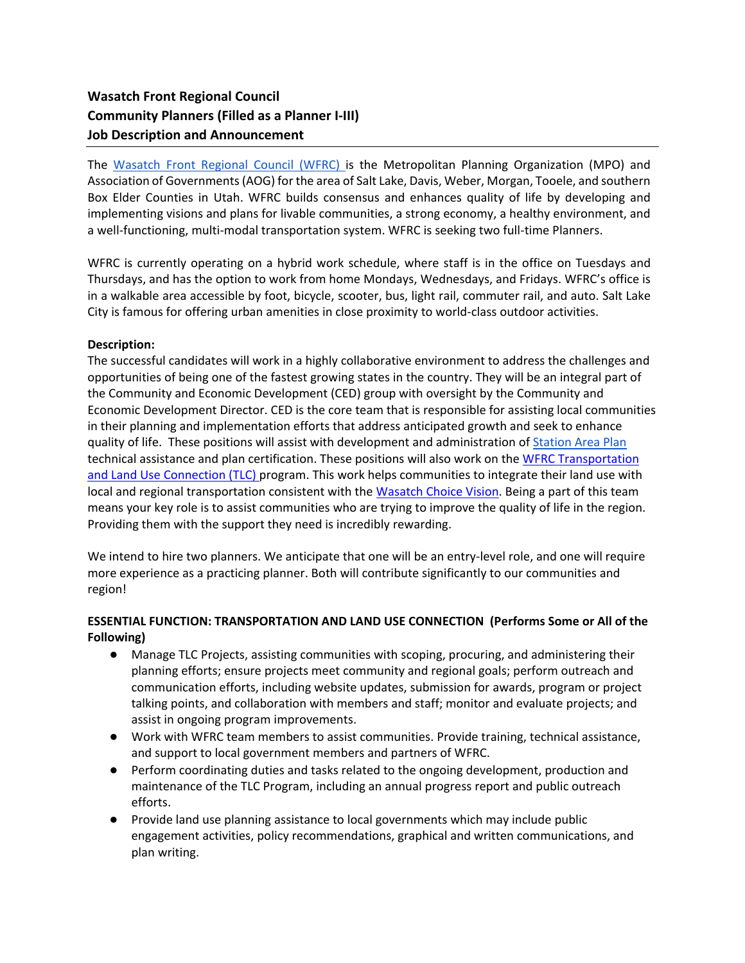# **Wasatch Front Regional Council Community Planners (Filled as a Planner I-III) Job Description and Announcement**

The [Wasatch Front Regional Council \(WFRC\) i](https://wfrc.org/)s the Metropolitan Planning Organization (MPO) and Association of Governments (AOG) for the area of Salt Lake, Davis, Weber, Morgan, Tooele, and southern Box Elder Counties in Utah. WFRC builds consensus and enhances quality of life by developing and implementing visions and plans for livable communities, a strong economy, a healthy environment, and a well-functioning, multi-modal transportation system. WFRC is seeking two full-time Planners.

WFRC is currently operating on a hybrid work schedule, where staff is in the office on Tuesdays and Thursdays, and has the option to work from home Mondays, Wednesdays, and Fridays. WFRC's office is in a walkable area accessible by foot, bicycle, scooter, bus, light rail, commuter rail, and auto. Salt Lake City is famous for offering urban amenities in close proximity to world-class outdoor activities.

### **Description:**

The successful candidates will work in a highly collaborative environment to address the challenges and opportunities of being one of the fastest growing states in the country. They will be an integral part of the Community and Economic Development (CED) group with oversight by the Community and Economic Development Director. CED is the core team that is responsible for assisting local communities in their planning and implementation efforts that address anticipated growth and seek to enhance quality of life. These positions will assist with development and administration of [Station Area Plan](https://docs.google.com/document/d/1GOVsDpJme-y8vjB7yqTWr22ASacw_XqlqlpVkk181Tg/edit) technical assistance and plan certification. These positions will also work on the WFRC Transportation [and Land Use Connection \(TLC\) program.](https://wfrc.org/programs/transportation-land-use-connection/) This work helps communities to integrate their land use with local and regional transportation consistent with the [Wasatch Choice Vision.](https://wfrc.org/vision-plans/wasatch-choice-2050/) Being a part of this team means your key role is to assist communities who are trying to improve the quality of life in the region. Providing them with the support they need is incredibly rewarding.

We intend to hire two planners. We anticipate that one will be an entry-level role, and one will require more experience as a practicing planner. Both will contribute significantly to our communities and region!

# **ESSENTIAL FUNCTION: TRANSPORTATION AND LAND USE CONNECTION (Performs Some or All of the Following)**

- Manage TLC Projects, assisting communities with scoping, procuring, and administering their planning efforts; ensure projects meet community and regional goals; perform outreach and communication efforts, including website updates, submission for awards, program or project talking points, and collaboration with members and staff; monitor and evaluate projects; and assist in ongoing program improvements.
- Work with WFRC team members to assist communities. Provide training, technical assistance, and support to local government members and partners of WFRC.
- Perform coordinating duties and tasks related to the ongoing development, production and maintenance of the TLC Program, including an annual progress report and public outreach efforts.
- Provide land use planning assistance to local governments which may include public engagement activities, policy recommendations, graphical and written communications, and plan writing.